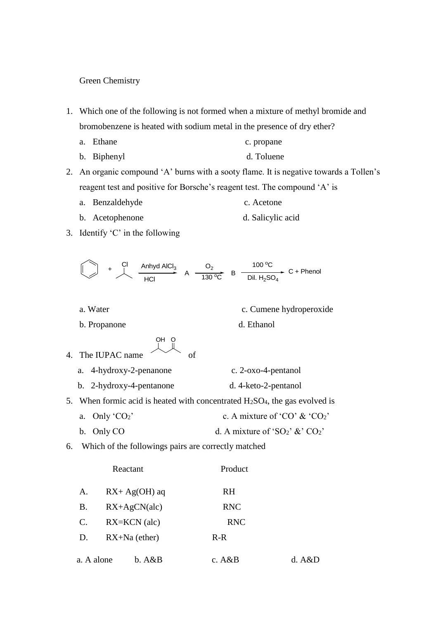Green Chemistry

- 1. Which one of the following is not formed when a mixture of methyl bromide and bromobenzene is heated with sodium metal in the presence of dry ether?
	- a. Ethane c. propane
	- b. Biphenyl d. Toluene

2. An organic compound 'A' burns with a sooty flame. It is negative towards a Tollen's reagent test and positive for Borsche's reagent test. The compound 'A' is

- a. Benzaldehyde c. Acetone
- b. Acetophenone d. Salicylic acid
- 3. Identify 'C' in the following

$$
\begin{array}{cccc}\n & A_n \rightarrow C_1 \\
 & A_n \rightarrow C_2 \\
\hline\n & HCl & A\n\end{array}
$$

a. Water c. Cumene hydroperoxide

b. Propanone d. Ethanol

4. The IUPAC name of 
$$
\overline{AB} = \overline{AB}
$$

- a. 4-hydroxy-2-penanone c. 2-oxo-4-pentanol
- b. 2-hydroxy-4-pentanone d. 4-keto-2-pentanol
- 5. When formic acid is heated with concentrated  $H_2SO_4$ , the gas evolved is
	- a. Only ' $CO_2$ ' c. A mixture of 'CO' & 'CO<sub>2</sub>'
	- b. Only CO d. A mixture of 'SO<sub>2</sub>'  $\&$ ' CO<sub>2</sub>'
- 6. Which of the followings pairs are correctly matched

|                        | Reactant        | Product    |        |
|------------------------|-----------------|------------|--------|
| $RX + Ag(OH)$ aq<br>А. |                 | <b>RH</b>  |        |
| Β.                     | $RX+AgCN(alc)$  | <b>RNC</b> |        |
| $RX=KCN$ (alc)<br>C.   |                 | <b>RNC</b> |        |
| D.                     | $RX+Na$ (ether) | $R-R$      |        |
| a. A alone             | b. A&B          | c. $A\&B$  | d. A&D |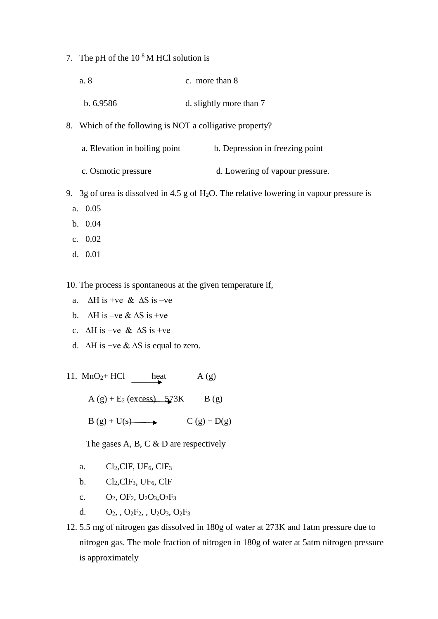- 7. The pH of the  $10^{-8}$  M HCl solution is
	- a. 8 c. more than 8
	- b. 6.9586 d. slightly more than 7
- 8. Which of the following is NOT a colligative property?
	- a. Elevation in boiling point b. Depression in freezing point
	- c. Osmotic pressure d. Lowering of vapour pressure.
- 9. 3g of urea is dissolved in 4.5 g of H<sub>2</sub>O. The relative lowering in vapour pressure is
	- a. 0.05
	- b. 0.04
	- c. 0.02
	- d. 0.01

10. The process is spontaneous at the given temperature if,

- a.  $\Delta H$  is +ve &  $\Delta S$  is -ve
- b.  $\Delta H$  is –ve &  $\Delta S$  is +ve
- c.  $\Delta H$  is +ve &  $\Delta S$  is +ve
- d. ∆H is +ve & ∆S is equal to zero.
- 11.  $MnO_2$ + HCl heat A (g)

 $A(g) + E_2$  (excess)  $573K$  B (g)

 $B(g) + U(s)$   $C(g) + D(g)$ 

The gases A, B, C & D are respectively

- a.  $Cl_2, ClF, UF_6, ClF_3$
- b.  $Cl_2, ClF_3, UF_6, ClF$
- c.  $O_2$ ,  $OF_2$ ,  $U_2O_3$ ,  $O_2F_3$
- d.  $O_2$ ,  $O_2F_2$ ,  $U_2O_3$ ,  $O_2F_3$
- 12. 5.5 mg of nitrogen gas dissolved in 180g of water at 273K and 1atm pressure due to nitrogen gas. The mole fraction of nitrogen in 180g of water at 5atm nitrogen pressure is approximately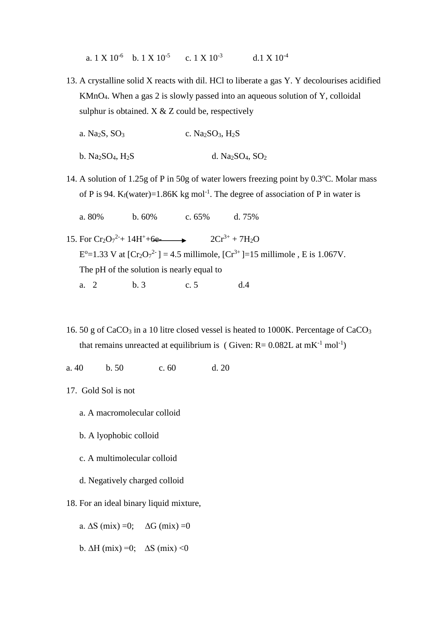a.  $1 \text{ X } 10^{-6}$  b.  $1 \text{ X } 10^{-5}$  c.  $1 \text{ X } 10^{-3}$  d.  $1 \text{ X } 10^{-4}$ 

- 13. A crystalline solid X reacts with dil. HCl to liberate a gas Y. Y decolourises acidified KMnO4. When a gas 2 is slowly passed into an aqueous solution of Y, colloidal sulphur is obtained.  $X & Z$  could be, respectively
	- a. Na<sub>2</sub>S, SO<sub>3</sub> c. Na<sub>2</sub>SO<sub>3</sub>, H<sub>2</sub>S
	- b. Na<sub>2</sub>SO<sub>4</sub>, H<sub>2</sub>S d. Na<sub>2</sub>SO<sub>4</sub>, SO<sub>2</sub>
- 14. A solution of 1.25g of P in 50g of water lowers freezing point by  $0.3^{\circ}$ C. Molar mass of P is 94. K<sub>f</sub>(water)=1.86K kg mol<sup>-1</sup>. The degree of association of P in water is
	- a. 80% b. 60% c. 65% d. 75%
- 15. For  $Cr_2O_7^2$  + 14H<sup>+</sup>+6e-<br>2Cr<sup>3+</sup> + 7H<sub>2</sub>O  $E^{\circ}$ =1.33 V at [Cr<sub>2</sub>O<sub>7</sub><sup>2-</sup>] = 4.5 millimole, [Cr<sup>3+</sup>]=15 millimole, E is 1.067V. The pH of the solution is nearly equal to a. 2 b. 3 c. 5 d. 4
- 16. 50 g of CaCO<sup>3</sup> in a 10 litre closed vessel is heated to 1000K. Percentage of CaCO<sup>3</sup> that remains unreacted at equilibrium is (Given:  $R = 0.082L$  at  $mK^{-1}$  mol<sup>-1</sup>)
- a. 40 b. 50 c. 60 d. 20
- 17. Gold Sol is not
	- a. A macromolecular colloid
	- b. A lyophobic colloid
	- c. A multimolecular colloid
	- d. Negatively charged colloid
- 18. For an ideal binary liquid mixture,
	- a.  $\Delta S$  (mix) =0;  $\Delta G$  (mix) =0
	- b.  $\Delta H$  (mix) =0;  $\Delta S$  (mix) <0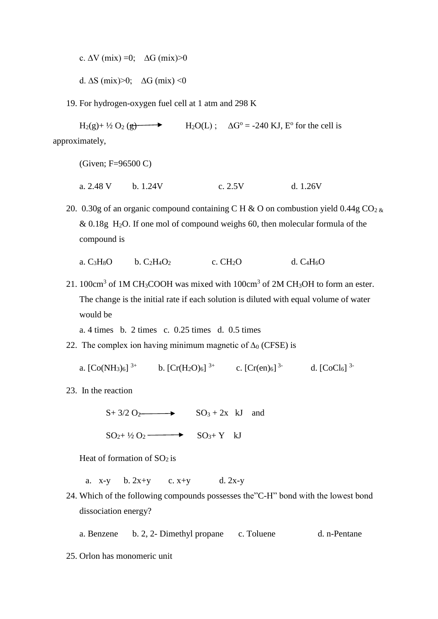c.  $\Delta V$  (mix) =0;  $\Delta G$  (mix) >0

d.  $\Delta S$  (mix)>0;  $\Delta G$  (mix) <0

19. For hydrogen-oxygen fuel cell at 1 atm and 298 K

 $\text{H}_2(\text{g}) + \frac{1}{2}\text{O}_2(\text{g})$ <sup>o</sup> for the cell is approximately,

(Given; F=96500 C)

a. 2.48 V b. 1.24V c. 2.5V d. 1.26V

20. 0.30g of an organic compound containing C H & O on combustion yield  $0.44g \text{ CO}_2$  &  $& 0.18g$  H<sub>2</sub>O. If one mol of compound weighs 60, then molecular formula of the compound is

a.  $C_3H_8O$  b.  $C_2H_4O_2$  c.  $CH_2O$  d.  $C_4H_6O$ 

21. 100 $cm<sup>3</sup>$  of 1M CH<sub>3</sub>COOH was mixed with 100 $cm<sup>3</sup>$  of 2M CH<sub>3</sub>OH to form an ester. The change is the initial rate if each solution is diluted with equal volume of water would be

a. 4 times b. 2 times c. 0.25 times d. 0.5 times

22. The complex ion having minimum magnetic of  $\Delta_0$  (CFSE) is

a.  $[Co(NH_3)_6]$ <sup>3+</sup> b.  $[Cr(H_2O)_6]$ <sup>3+</sup> c.  $[Cr(en)_6]$ <sup>3-</sup> d.  $[CoCl_6]$ <sup>3-</sup>

23. In the reaction

 $S+ 3/2 O_2 \longrightarrow SO_3 + 2x KJ$  and  $SO_2+V_2O_2 \longrightarrow SO_3+Y \quad kJ$ 

Heat of formation of  $SO<sub>2</sub>$  is

a.  $x-y$  b.  $2x+y$  c.  $x+y$  d.  $2x-y$ 

24. Which of the following compounds possesses the"C-H" bond with the lowest bond dissociation energy?

a. Benzene b. 2, 2- Dimethyl propane c. Toluene d. n-Pentane

25. Orlon has monomeric unit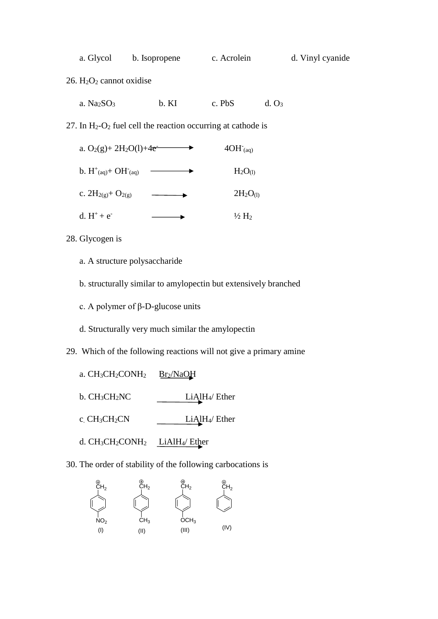| a. Glycol | b. Isopropene | c. Acrolein | d. Vinyl cyanide |
|-----------|---------------|-------------|------------------|
|-----------|---------------|-------------|------------------|

26. H2O<sup>2</sup> cannot oxidise

|  | a. $Na2SO3$ | b. KI | c. PbS | d. O <sub>3</sub> |
|--|-------------|-------|--------|-------------------|
|--|-------------|-------|--------|-------------------|

27. In  $H_2-O_2$  fuel cell the reaction occurring at cathode is

| a. $O_2(g) + 2H_2O(l) + 4e^{-}$    | $4OH$ <sup>-</sup> (aq) |
|------------------------------------|-------------------------|
| b. $H^+_{(aq)}$ + OH $^-_{(aq)}$   | $H_2O_{(1)}$            |
| c. $2H_{2(g)}$ + O <sub>2(g)</sub> | $2H_2O_{(1)}$           |
| d. $H^+ + e^-$                     | $\frac{1}{2}H_2$        |

- 28. Glycogen is
	- a. A structure polysaccharide
	- b. structurally similar to amylopectin but extensively branched
	- c. A polymer of β-D-glucose units
	- d. Structurally very much similar the amylopectin

29. Which of the following reactions will not give a primary amine

- a. CH<sub>3</sub>CH<sub>2</sub>CONH<sub>2</sub> Br<sub>2</sub>/NaOH b. CH3CH2NC LiAlH4/ Ether c. CH<sub>3</sub>CH<sub>2</sub>CN LiAlH<sub>4</sub>/ Ether
- d. CH3CH2CONH<sup>2</sup> LiAlH4/ Ether

30. The order of stability of the following carbocations is

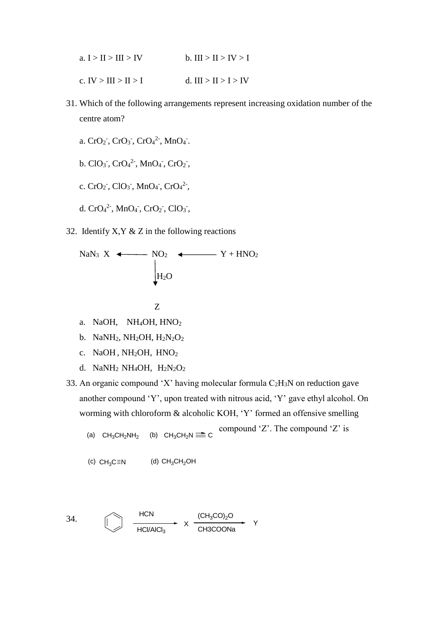| a. $I > II > III > IV$ | b. III > II > IV > I   |
|------------------------|------------------------|
| c. IV > III > II > I   | d. $III > II > I > IV$ |

- 31. Which of the following arrangements represent increasing oxidation number of the centre atom?
	- a.  $CrO_2$ ,  $CrO_3$ ,  $CrO_4^2$ ,  $MnO_4$ .
	- b.  $ClO_3^-$ ,  $CrO_4^2$ <sup>-</sup>,  $MnO_4^-$ ,  $CrO_2^-$ ,
	- c.  $CrO_2$ ,  $ClO_3$ ,  $MnO_4$ ,  $CrO_4^2$ ,
	- d.  $CrO<sub>4</sub><sup>2</sup>$ , MnO<sub>4</sub><sup>-</sup>, CrO<sub>2</sub><sup>-</sup>, ClO<sub>3</sub><sup>-</sup>,
- 32. Identify  $X, Y \& Z$  in the following reactions

NaN<sub>3</sub> X

\n
$$
\begin{array}{c}\n\downarrow \\
\downarrow \\
\downarrow\n\end{array}
$$
\nNaN<sub>3</sub> X

\n
$$
\begin{array}{c}\n\downarrow \\
\downarrow\n\end{array}
$$
\nNO<sub>2</sub> 
$$
\begin{array}{c}\n\downarrow \\
\downarrow\n\end{array}
$$
\nY + HNO<sub>2</sub>

$$
\mathbf{Z} = \mathbf{Z} \mathbf{Z}
$$

- a. NaOH, NH4OH, HNO<sup>2</sup>
- b. NaNH<sub>2</sub>, NH<sub>2</sub>OH, H<sub>2</sub>N<sub>2</sub>O<sub>2</sub>
- c. NaOH, NH<sub>2</sub>OH, HNO<sub>2</sub>
- d. NaNH<sub>2</sub> NH<sub>4</sub>OH, H<sub>2</sub>N<sub>2</sub>O<sub>2</sub>
- 33. An organic compound 'X' having molecular formula  $C_2H_3N$  on reduction gave another compound 'Y', upon treated with nitrous acid, 'Y' gave ethyl alcohol. On worming with chloroform & alcoholic KOH, 'Y' formed an offensive smelling

```
compound 'Z'. The compound 'Z' is
(a) CH_3CH_2NH_2(b) CH_3CH_2N \rightrightarrows C
```

```
(c) CH_3C \equiv N (d) CH_3CH_2OH
```
34. 
$$
\xrightarrow{\text{HCN}} \frac{HCN}{HCI/AICI_3} \times \xrightarrow{\text{(CH}_3\text{CO})_2\text{O}} \text{Y}
$$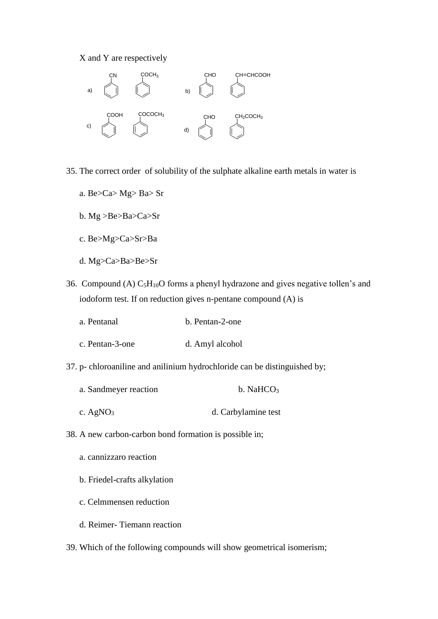X and Y are respectively



35. The correct order of solubility of the sulphate alkaline earth metals in water is

- a. Be>Ca> Mg> Ba> Sr
- b. Mg >Be>Ba>Ca>Sr
- c. Be>Mg>Ca>Sr>Ba
- d. Mg>Ca>Ba>Be>Sr
- 36. Compound (A)  $C_5H_{10}O$  forms a phenyl hydrazone and gives negative tollen's and iodoform test. If on reduction gives n-pentane compound (A) is
	- a. Pentanal b. Pentan-2-one
	- c. Pentan-3-one d. Amyl alcohol
- 37. p- chloroaniline and anilinium hydrochloride can be distinguished by;
	- a. Sandmeyer reaction b. NaHCO<sub>3</sub>
	- c. AgNO<sub>3</sub> d. Carbylamine test
- 38. A new carbon-carbon bond formation is possible in;
	- a. cannizzaro reaction
	- b. Friedel-crafts alkylation
	- c. Celmmensen reduction
	- d. Reimer- Tiemann reaction
- 39. Which of the following compounds will show geometrical isomerism;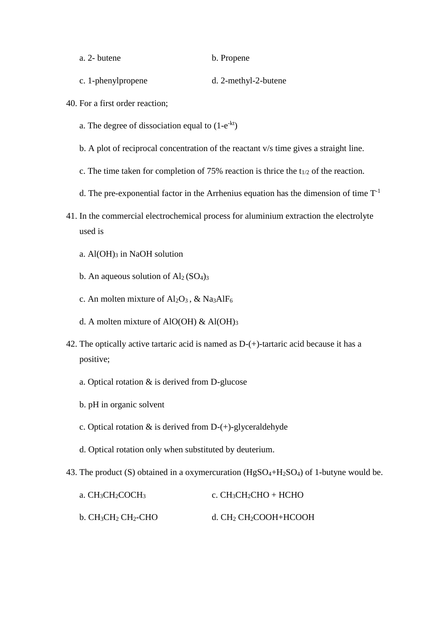a. 2- butene b. Propene

- c. 1-phenylpropene d. 2-methyl-2-butene
- 40. For a first order reaction;
	- a. The degree of dissociation equal to  $(1-e^{-kt})$
	- b. A plot of reciprocal concentration of the reactant v/s time gives a straight line.
	- c. The time taken for completion of 75% reaction is thrice the  $t_{1/2}$  of the reaction.
	- d. The pre-exponential factor in the Arrhenius equation has the dimension of time  $T^{-1}$
- 41. In the commercial electrochemical process for aluminium extraction the electrolyte used is
	- a. Al(OH)<sup>3</sup> in NaOH solution
	- b. An aqueous solution of  $Al<sub>2</sub>(SO<sub>4</sub>)<sub>3</sub>$
	- c. An molten mixture of  $Al_2O_3$ , & Na3AlF<sub>6</sub>
	- d. A molten mixture of AlO(OH)  $\&$  Al(OH)<sub>3</sub>
- 42. The optically active tartaric acid is named as D-(+)-tartaric acid because it has a positive;
	- a. Optical rotation & is derived from D-glucose
	- b. pH in organic solvent
	- c. Optical rotation  $\&$  is derived from D-(+)-glyceraldehyde
	- d. Optical rotation only when substituted by deuterium.
- 43. The product (S) obtained in a oxymercuration ( $HgSO_4+H_2SO_4$ ) of 1-butyne would be.

| a. $CH3CH2COCH3$    | c. $CH_3CH_2CHO + HCHO$ |
|---------------------|-------------------------|
| b. $CH3CH2CH2$ -CHO | d. $CH2CH2COOH+HCOOH$   |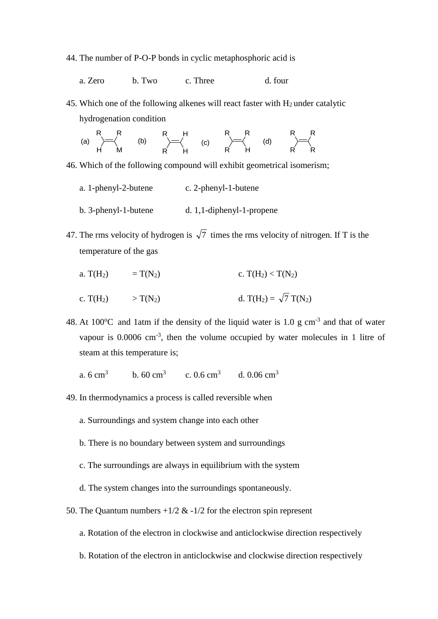44. The number of P-O-P bonds in cyclic metaphosphoric acid is

a. Zero b. Two c. Three d. four

45. Which one of the following alkenes will react faster with  $H_2$  under catalytic hydrogenation condition

| – R |                       | R H |                                                                                                           | $R$ R | R R     |                           |
|-----|-----------------------|-----|-----------------------------------------------------------------------------------------------------------|-------|---------|---------------------------|
|     | (a) $\rightarrow$ (b) |     | $\begin{matrix} \diagup = \langle & \textbf{(c)} & \diagup = \langle & \textbf{(d)} \rangle \end{matrix}$ |       |         | $\rightarrow \rightarrow$ |
| H   |                       |     |                                                                                                           |       | $R$ $R$ |                           |

46. Which of the following compound will exhibit geometrical isomerism;

- a. 1-phenyl-2-butene c. 2-phenyl-1-butene b. 3-phenyl-1-butene d. 1,1-diphenyl-1-propene
- 47. The rms velocity of hydrogen is  $\sqrt{7}$  times the rms velocity of nitrogen. If T is the temperature of the gas
	- a. T(H<sub>2</sub>) = T(N<sub>2</sub>) c. T(H<sub>2</sub>) < T(N<sub>2</sub>)
	- c. T(H<sub>2</sub>)  $> T(N_2)$  d. T(H<sub>2</sub>) =  $\sqrt{7}$  T(N<sub>2</sub>)

48. At 100 $^{\circ}$ C and 1atm if the density of the liquid water is 1.0 g cm<sup>-3</sup> and that of water vapour is  $0.0006$  cm<sup>-3</sup>, then the volume occupied by water molecules in 1 litre of steam at this temperature is;

a.  $6 \text{ cm}^3$ b.  $60 \text{ cm}^3$ c.  $0.6 \text{ cm}^3$ d.  $0.06 \text{ cm}^3$ 

- 49. In thermodynamics a process is called reversible when
	- a. Surroundings and system change into each other
	- b. There is no boundary between system and surroundings
	- c. The surroundings are always in equilibrium with the system
	- d. The system changes into the surroundings spontaneously.
- 50. The Quantum numbers  $+1/2$  &  $-1/2$  for the electron spin represent
	- a. Rotation of the electron in clockwise and anticlockwise direction respectively
	- b. Rotation of the electron in anticlockwise and clockwise direction respectively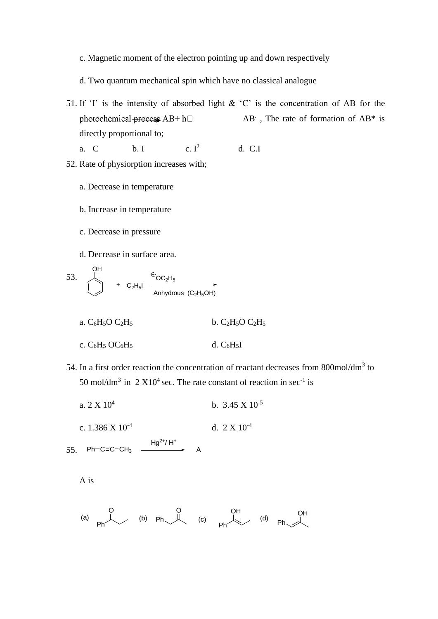c. Magnetic moment of the electron pointing up and down respectively

d. Two quantum mechanical spin which have no classical analogue

- 51. If 'I' is the intensity of absorbed light  $\&$  'C' is the concentration of AB for the photochemical process  $AB + h$  AB. , The rate of formation of AB\* is directly proportional to;
	- a. C b. I c.  $I^2$ <sup>2</sup>d. C.I

52. Rate of physiorption increases with;

- a. Decrease in temperature
- b. Increase in temperature
- c. Decrease in pressure
- d. Decrease in surface area.

53. 
$$
\begin{array}{c}\n\begin{array}{ccc}\n\begin{array}{ccc}\n\bullet \\
\bullet \\
\end{array} & \bullet \\
\hline\n\end{array} & + C_2H_5I \end{array} \xrightarrow{\Theta_{OC_2H_5}} \xrightarrow{\Theta_{OC_2H_5}} \xrightarrow{\Theta_{OC_2H_5 \to \bullet} \xrightarrow{\Theta_{OC_2H_5 \to \bullet} \xrightarrow{\Theta_{DC_2H_5 \to \bullet} \xrightarrow{\Theta_{DC}} \xrightarrow{\Theta_{DC}} \xrightarrow{\Theta_{DC}} \xrightarrow{\Theta_{DC}} \xrightarrow{\Theta_{DC}} \xrightarrow{\Theta_{DC}} \xrightarrow{\Theta_{DC}} \xrightarrow{\Theta_{DC}} \xrightarrow{\Theta_{DC}} \xrightarrow{\Theta_{DC}} \xrightarrow{\Theta_{DC}} \xrightarrow{\Theta_{DC}} \xrightarrow{\Theta_{DC}} \xrightarrow{\Theta_{DC}} \xrightarrow{\Theta_{DC}} \xrightarrow{\Theta_{DC}} \xrightarrow{\Theta_{DC}} \xrightarrow{\Theta_{DC}} \xrightarrow{\Theta_{DC}} \xrightarrow{\Theta_{DC}} \xrightarrow{\Theta_{DC}} \xrightarrow{\Theta_{DC}} \xrightarrow{\Theta_{DC}} \xrightarrow{\Theta_{DC}} \xrightarrow{\Theta_{DC}} \xrightarrow{\Theta_{DC}} \xrightarrow{\Theta_{DC}} \xrightarrow{\Theta_{DC}} \xrightarrow{\Theta_{DC}} \xrightarrow{\Theta_{DC}} \xrightarrow{\Theta_{DC}} \xrightarrow{\Theta_{DC}} \xrightarrow{\Theta_{DC}} \xrightarrow{\Theta_{DC}} \xrightarrow{\Theta_{DC}} \xrightarrow{\Theta_{DC}} \xrightarrow{\Theta_{DC}} \xrightarrow{\Theta_{DC}} \xrightarrow{\Theta_{DC}} \xrightarrow{\Theta_{DC}} \xrightarrow{\Theta_{DC}} \xrightarrow{\Theta_{DC}} \xrightarrow{\Theta_{DC}} \xrightarrow{\Theta_{DC}} \xrightarrow{\Theta_{DC}} \xrightarrow{\Theta_{DC}} \xrightarrow{\Theta_{DC}} \xrightarrow{\Theta_{DC}} \xrightarrow{\Theta_{DC}} \xrightarrow{\Theta_{DC}} \xrightarrow{\Theta_{DC}} \xrightarrow{\Theta_{DC}} \xrightarrow{\Theta_{DC}} \xrightarrow{\Theta_{DC}} \xrightarrow{\Theta_{DC}} \xrightarrow{\Theta_{DC}} \xrightarrow{\Theta_{DC}} \xrightarrow{\Theta_{DC}} \xrightarrow{\Theta_{DC}} \xrightarrow{\Theta_{DC}} \xrightarrow{\Theta_{DC}} \xrightarrow{\Theta_{DC}} \xrightarrow{\Theta_{DC}} \xrightarrow{\Theta_{DC}} \xrightarrow{\Theta_{DC}} \xrightarrow{\Theta_{DC}} \xrightarrow{\Theta_{DC}} \xrightarrow{\Theta_{DC}} \xrightarrow{\Theta_{DC}} \xrightarrow{\Theta_{DC}} \xrightarrow{\Theta_{DC}} \xrightarrow{\Theta_{DC}} \xrightarrow{\Theta_{DC}} \xrightarrow{\Theta_{DC}} \xrightarrow{\Theta_{DC}} \xrightarrow{\Theta_{DC}} \xrightarrow{\Theta_{DC}} \x
$$

- a.  $C_6H_5O C_2H_5$  b.  $C_2H_5O C_2H_5$
- c.  $C_6H_5$  OC<sub>6</sub>H<sub>5</sub> d.  $C_6H_5I$
- 54. In a first order reaction the concentration of reactant decreases from 800mol/dm<sup>3</sup> to 50 mol/dm<sup>3</sup> in 2  $X10^4$  sec. The rate constant of reaction in sec<sup>-1</sup> is
	- a.  $2 \times 10^4$ b.  $3.45 \times 10^{-5}$
	- c. 1.386 X 10-4 d.  $2 \times 10^{-4}$

 $55.$  Ph-C=C-CH<sub>3</sub>  $\longrightarrow$  A  $Hg^{2+} / H^{+}$ 

A is

$$
(a) \quad\n\begin{array}{ccc}\n0 & 0 & 0 \\
\downarrow & & & \\
\hline\n\end{array}
$$
\n
$$
(b) \quad\n\begin{array}{ccc}\n0 & 0 & 0 \\
\downarrow & & \\
\hline\n\end{array}
$$
\n
$$
(c) \quad\n\begin{array}{ccc}\n0 & 0 & 0 \\
\downarrow & & \\
\hline\n\end{array}
$$
\n
$$
(d) \quad\n\begin{array}{ccc}\n0 & 0 & 0 \\
\downarrow & & \\
\hline\n\end{array}
$$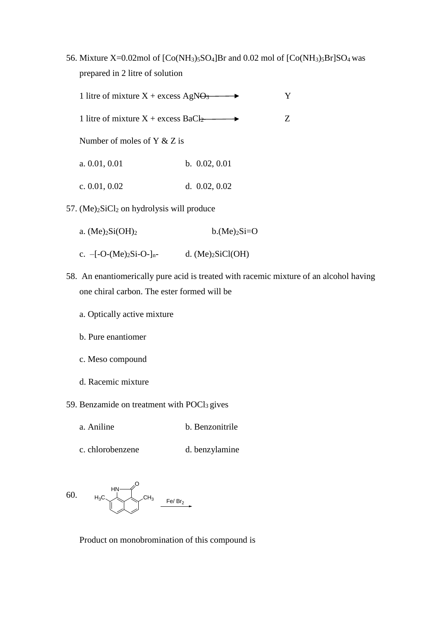56. Mixture X=0.02mol of  $[Co(NH<sub>3</sub>)<sub>5</sub>SO<sub>4</sub>]Br$  and 0.02 mol of  $[Co(NH<sub>3</sub>)<sub>5</sub>Br]SO<sub>4</sub> was$ prepared in 2 litre of solution

| 1 litre of mixture $X +$ excess AgN $\Theta_3$ |  |
|------------------------------------------------|--|
|------------------------------------------------|--|

1 litre of mixture  $X +$  excess  $BaCl<sub>2</sub>$   $\longrightarrow$  Z

Number of moles of Y & Z is

- a. 0.01, 0.01 b. 0.02, 0.01
- c. 0.01, 0.02 d. 0.02, 0.02
- 57. (Me)2SiCl<sup>2</sup> on hydrolysis will produce
	- a.  $(Me)_{2}Si(OH)_{2}$  b. $(Me)_{2}Si=O$
	- c.  $-[-O-(Me)_2Si-O-]_n-$  d.  $(Me)_2SiCl(OH)$
- 58. An enantiomerically pure acid is treated with racemic mixture of an alcohol having one chiral carbon. The ester formed will be
	- a. Optically active mixture
	- b. Pure enantiomer
	- c. Meso compound
	- d. Racemic mixture

59. Benzamide on treatment with  $POCI<sub>3</sub>$  gives

- a. Aniline b. Benzonitrile
- c. chlorobenzene d. benzylamine

60. 
$$
H_3C
$$
 CH<sub>3</sub>  $CH_3$   $Fe/Br_2$ 

Product on monobromination of this compound is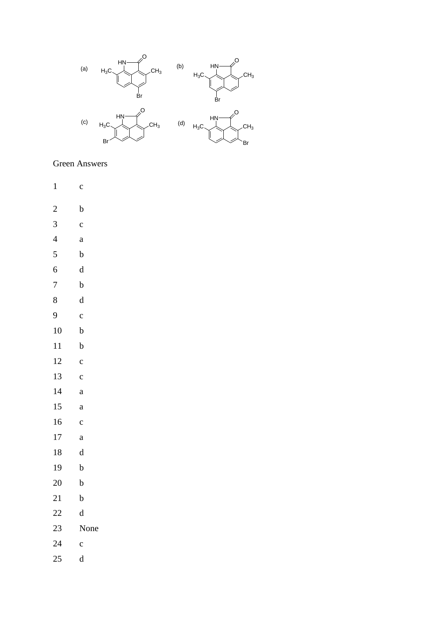

## **Green Answers**

- $\overline{1}$  $\mathbf{c}$
- $\overline{2}$  $\mathbf b$
- $\overline{3}$  $\mathbf{c}$
- $\overline{4}$  $\mathbf{a}$
- $\overline{5}$  $\bf b$
- $\overline{6}$  $\mathrm{d}% \left\| \mathbf{r}_{i}^{*}\right\| _{A_{i}}=\mathrm{d}\left\| \mathbf{r}_{i}^{*}\right\| _{A_{i}}=\mathrm{d}\left\| \mathbf{r}_{i}^{*}\right\| _{A_{i}}=\mathrm{d}\left\| \mathbf{r}_{i}^{*}\right\| _{A_{i}}=\mathrm{d}\left\| \mathbf{r}_{i}^{*}\right\| _{A_{i}}=\mathrm{d}\left\| \mathbf{r}_{i}^{*}\right\| _{A_{i}}=\mathrm{d}\left\| \mathbf{r}_{i}^{*}\right\| _{A_{i}}=\mathrm{d}\left\| \mathbf{r}_{i}^{*}\right\| _$
- $\overline{7}$  $\mathbf b$
- 
- $8\,$  $\mathrm{d}% \left\| \mathbf{r}_{i}^{*}\right\| _{A_{i}}=\mathrm{d}\left\| \mathbf{r}_{i}^{*}\right\| _{A_{i}}=\mathrm{d}\left\| \mathbf{r}_{i}^{*}\right\| _{A_{i}}=\mathrm{d}\left\| \mathbf{r}_{i}^{*}\right\| _{A_{i}}=\mathrm{d}\left\| \mathbf{r}_{i}^{*}\right\| _{A_{i}}=\mathrm{d}\left\| \mathbf{r}_{i}^{*}\right\| _{A_{i}}=\mathrm{d}\left\| \mathbf{r}_{i}^{*}\right\| _{A_{i}}=\mathrm{d}\left\| \mathbf{r}_{i}^{*}\right\| _$
- $\overline{9}$  $\mathbf{c}$
- $10\,$  $\mathbf b$
- $11$  $\mathbf b$
- 12  $\mathbf{c}$
- 13  $\mathbf c$
- $14$  $\mathbf{a}$
- 15  $\mathbf{a}$
- 16  $\mathbf{c}$
- 
- 17  $\mathbf{a}$
- 18  $\mathbf d$
- 19  $\mathbf b$
- 20  $\mathbf b$
- 21  $\mathbf b$
- 22  $\mathbf d$
- 23 None
- 24  $\mathbf{c}$
- 25  $\mathbf d$